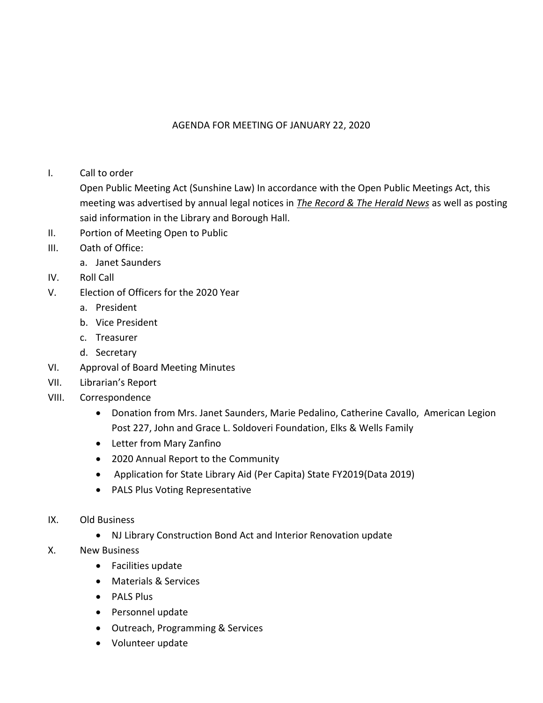## AGENDA FOR MEETING OF JANUARY 22, 2020

I. Call to order

Open Public Meeting Act (Sunshine Law) In accordance with the Open Public Meetings Act, this meeting was advertised by annual legal notices in *The Record & The Herald News* as well as posting said information in the Library and Borough Hall.

- II. Portion of Meeting Open to Public
- III. Oath of Office:
	- a. Janet Saunders
- IV. Roll Call
- V. Election of Officers for the 2020 Year
	- a. President
	- b. Vice President
	- c. Treasurer
	- d. Secretary
- VI. Approval of Board Meeting Minutes
- VII. Librarian's Report
- VIII. Correspondence
	- Donation from Mrs. Janet Saunders, Marie Pedalino, Catherine Cavallo, American Legion Post 227, John and Grace L. Soldoveri Foundation, Elks & Wells Family
	- Letter from Mary Zanfino
	- 2020 Annual Report to the Community
	- Application for State Library Aid (Per Capita) State FY2019(Data 2019)
	- PALS Plus Voting Representative
- IX. Old Business
	- NJ Library Construction Bond Act and Interior Renovation update
- X. New Business
	- Facilities update
	- Materials & Services
	- PALS Plus
	- Personnel update
	- Outreach, Programming & Services
	- Volunteer update